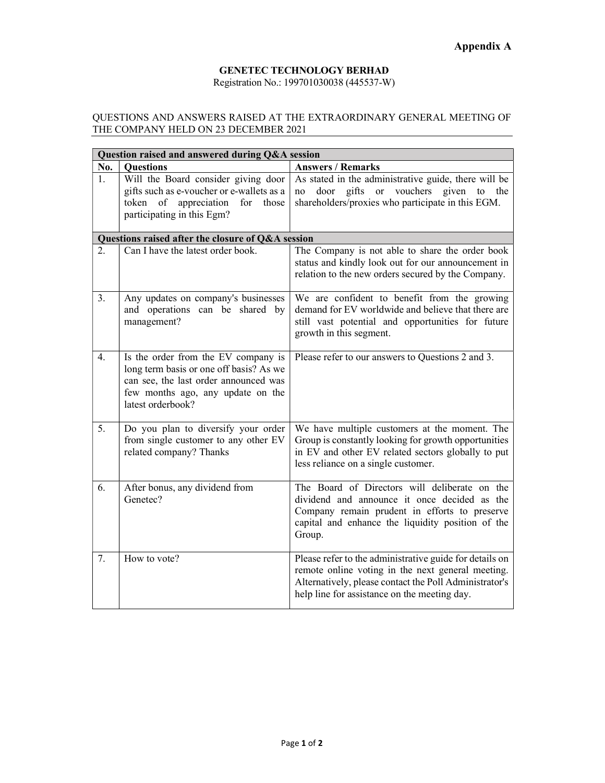## GENETEC TECHNOLOGY BERHAD Registration No.: 199701030038 (445537-W)

## QUESTIONS AND ANSWERS RAISED AT THE EXTRAORDINARY GENERAL MEETING OF THE COMPANY HELD ON 23 DECEMBER 2021

| Question raised and answered during Q&A session   |                                                                                                                                                                                   |                                                                                                                                                                                                                        |
|---------------------------------------------------|-----------------------------------------------------------------------------------------------------------------------------------------------------------------------------------|------------------------------------------------------------------------------------------------------------------------------------------------------------------------------------------------------------------------|
| No.                                               | <b>Questions</b>                                                                                                                                                                  | <b>Answers / Remarks</b>                                                                                                                                                                                               |
| 1.                                                | Will the Board consider giving door<br>gifts such as e-voucher or e-wallets as a<br>token of appreciation<br>for<br>those<br>participating in this Egm?                           | As stated in the administrative guide, there will be<br>door gifts or vouchers given to the<br>no<br>shareholders/proxies who participate in this EGM.                                                                 |
| Questions raised after the closure of Q&A session |                                                                                                                                                                                   |                                                                                                                                                                                                                        |
| 2.                                                | Can I have the latest order book.                                                                                                                                                 | The Company is not able to share the order book<br>status and kindly look out for our announcement in<br>relation to the new orders secured by the Company.                                                            |
| 3.                                                | Any updates on company's businesses<br>and operations can be shared by<br>management?                                                                                             | We are confident to benefit from the growing<br>demand for EV worldwide and believe that there are<br>still vast potential and opportunities for future<br>growth in this segment.                                     |
| 4.                                                | Is the order from the EV company is<br>long term basis or one off basis? As we<br>can see, the last order announced was<br>few months ago, any update on the<br>latest orderbook? | Please refer to our answers to Questions 2 and 3.                                                                                                                                                                      |
| 5.                                                | Do you plan to diversify your order<br>from single customer to any other EV<br>related company? Thanks                                                                            | We have multiple customers at the moment. The<br>Group is constantly looking for growth opportunities<br>in EV and other EV related sectors globally to put<br>less reliance on a single customer.                     |
| 6.                                                | After bonus, any dividend from<br>Genetec?                                                                                                                                        | The Board of Directors will deliberate on the<br>dividend and announce it once decided as the<br>Company remain prudent in efforts to preserve<br>capital and enhance the liquidity position of the<br>Group.          |
| 7.                                                | How to vote?                                                                                                                                                                      | Please refer to the administrative guide for details on<br>remote online voting in the next general meeting.<br>Alternatively, please contact the Poll Administrator's<br>help line for assistance on the meeting day. |